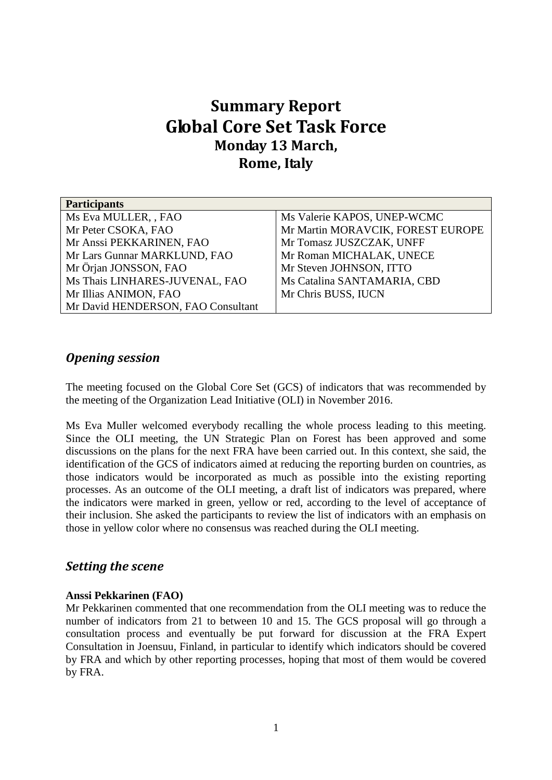# **Summary Report Global Core Set Task Force Monday 13 March, Rome, Italy**

| <b>Participants</b>                |                                   |
|------------------------------------|-----------------------------------|
| Ms Eva MULLER, , FAO               | Ms Valerie KAPOS, UNEP-WCMC       |
| Mr Peter CSOKA, FAO                | Mr Martin MORAVCIK, FOREST EUROPE |
| Mr Anssi PEKKARINEN, FAO           | Mr Tomasz JUSZCZAK, UNFF          |
| Mr Lars Gunnar MARKLUND, FAO       | Mr Roman MICHALAK, UNECE          |
| Mr Örjan JONSSON, FAO              | Mr Steven JOHNSON, ITTO           |
| Ms Thais LINHARES-JUVENAL, FAO     | Ms Catalina SANTAMARIA, CBD       |
| Mr Illias ANIMON, FAO              | Mr Chris BUSS, IUCN               |
| Mr David HENDERSON, FAO Consultant |                                   |

### *Opening session*

The meeting focused on the Global Core Set (GCS) of indicators that was recommended by the meeting of the Organization Lead Initiative (OLI) in November 2016.

Ms Eva Muller welcomed everybody recalling the whole process leading to this meeting. Since the OLI meeting, the UN Strategic Plan on Forest has been approved and some discussions on the plans for the next FRA have been carried out. In this context, she said, the identification of the GCS of indicators aimed at reducing the reporting burden on countries, as those indicators would be incorporated as much as possible into the existing reporting processes. As an outcome of the OLI meeting, a draft list of indicators was prepared, where the indicators were marked in green, yellow or red, according to the level of acceptance of their inclusion. She asked the participants to review the list of indicators with an emphasis on those in yellow color where no consensus was reached during the OLI meeting.

#### *Setting the scene*

#### **Anssi Pekkarinen (FAO)**

Mr Pekkarinen commented that one recommendation from the OLI meeting was to reduce the number of indicators from 21 to between 10 and 15. The GCS proposal will go through a consultation process and eventually be put forward for discussion at the FRA Expert Consultation in Joensuu, Finland, in particular to identify which indicators should be covered by FRA and which by other reporting processes, hoping that most of them would be covered by FRA.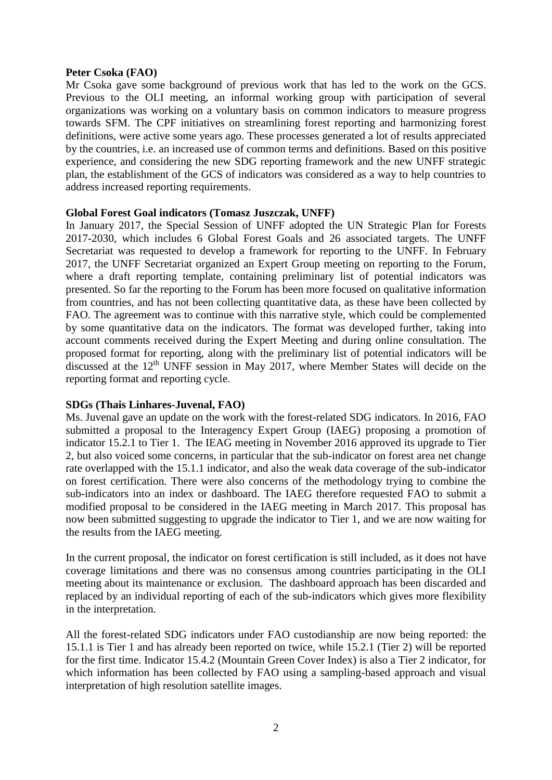#### **Peter Csoka (FAO)**

Mr Csoka gave some background of previous work that has led to the work on the GCS. Previous to the OLI meeting, an informal working group with participation of several organizations was working on a voluntary basis on common indicators to measure progress towards SFM. The CPF initiatives on streamlining forest reporting and harmonizing forest definitions, were active some years ago. These processes generated a lot of results appreciated by the countries, i.e. an increased use of common terms and definitions. Based on this positive experience, and considering the new SDG reporting framework and the new UNFF strategic plan, the establishment of the GCS of indicators was considered as a way to help countries to address increased reporting requirements.

#### **Global Forest Goal indicators (Tomasz Juszczak, UNFF)**

In January 2017, the Special Session of UNFF adopted the UN Strategic Plan for Forests 2017-2030, which includes 6 Global Forest Goals and 26 associated targets. The UNFF Secretariat was requested to develop a framework for reporting to the UNFF. In February 2017, the UNFF Secretariat organized an Expert Group meeting on reporting to the Forum, where a draft reporting template, containing preliminary list of potential indicators was presented. So far the reporting to the Forum has been more focused on qualitative information from countries, and has not been collecting quantitative data, as these have been collected by FAO. The agreement was to continue with this narrative style, which could be complemented by some quantitative data on the indicators. The format was developed further, taking into account comments received during the Expert Meeting and during online consultation. The proposed format for reporting, along with the preliminary list of potential indicators will be discussed at the 12<sup>th</sup> UNFF session in May 2017, where Member States will decide on the reporting format and reporting cycle.

#### **SDGs (Thais Linhares-Juvenal, FAO)**

Ms. Juvenal gave an update on the work with the forest-related SDG indicators. In 2016, FAO submitted a proposal to the Interagency Expert Group (IAEG) proposing a promotion of indicator 15.2.1 to Tier 1. The IEAG meeting in November 2016 approved its upgrade to Tier 2, but also voiced some concerns, in particular that the sub-indicator on forest area net change rate overlapped with the 15.1.1 indicator, and also the weak data coverage of the sub-indicator on forest certification. There were also concerns of the methodology trying to combine the sub-indicators into an index or dashboard. The IAEG therefore requested FAO to submit a modified proposal to be considered in the IAEG meeting in March 2017. This proposal has now been submitted suggesting to upgrade the indicator to Tier 1, and we are now waiting for the results from the IAEG meeting.

In the current proposal, the indicator on forest certification is still included, as it does not have coverage limitations and there was no consensus among countries participating in the OLI meeting about its maintenance or exclusion. The dashboard approach has been discarded and replaced by an individual reporting of each of the sub-indicators which gives more flexibility in the interpretation.

All the forest-related SDG indicators under FAO custodianship are now being reported: the 15.1.1 is Tier 1 and has already been reported on twice, while 15.2.1 (Tier 2) will be reported for the first time. Indicator 15.4.2 (Mountain Green Cover Index) is also a Tier 2 indicator, for which information has been collected by FAO using a sampling-based approach and visual interpretation of high resolution satellite images.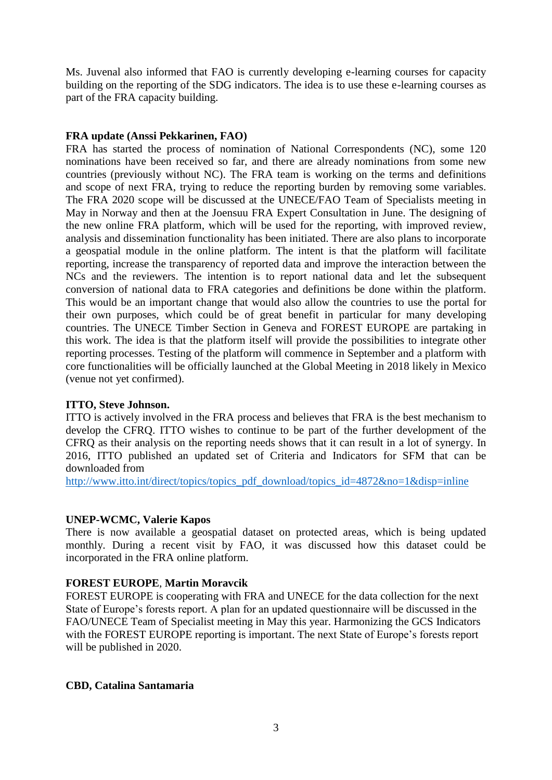Ms. Juvenal also informed that FAO is currently developing e-learning courses for capacity building on the reporting of the SDG indicators. The idea is to use these e-learning courses as part of the FRA capacity building.

#### **FRA update (Anssi Pekkarinen, FAO)**

FRA has started the process of nomination of National Correspondents (NC), some 120 nominations have been received so far, and there are already nominations from some new countries (previously without NC). The FRA team is working on the terms and definitions and scope of next FRA, trying to reduce the reporting burden by removing some variables. The FRA 2020 scope will be discussed at the UNECE/FAO Team of Specialists meeting in May in Norway and then at the Joensuu FRA Expert Consultation in June. The designing of the new online FRA platform, which will be used for the reporting, with improved review, analysis and dissemination functionality has been initiated. There are also plans to incorporate a geospatial module in the online platform. The intent is that the platform will facilitate reporting, increase the transparency of reported data and improve the interaction between the NCs and the reviewers. The intention is to report national data and let the subsequent conversion of national data to FRA categories and definitions be done within the platform. This would be an important change that would also allow the countries to use the portal for their own purposes, which could be of great benefit in particular for many developing countries. The UNECE Timber Section in Geneva and FOREST EUROPE are partaking in this work. The idea is that the platform itself will provide the possibilities to integrate other reporting processes. Testing of the platform will commence in September and a platform with core functionalities will be officially launched at the Global Meeting in 2018 likely in Mexico (venue not yet confirmed).

#### **ITTO, Steve Johnson.**

ITTO is actively involved in the FRA process and believes that FRA is the best mechanism to develop the CFRQ. ITTO wishes to continue to be part of the further development of the CFRQ as their analysis on the reporting needs shows that it can result in a lot of synergy. In 2016, ITTO published an updated set of Criteria and Indicators for SFM that can be downloaded from

[http://www.itto.int/direct/topics/topics\\_pdf\\_download/topics\\_id=4872&no=1&disp=inline](http://www.itto.int/direct/topics/topics_pdf_download/topics_id=4872&no=1&disp=inline)

#### **UNEP-WCMC, Valerie Kapos**

There is now available a geospatial dataset on protected areas, which is being updated monthly. During a recent visit by FAO, it was discussed how this dataset could be incorporated in the FRA online platform.

#### **FOREST EUROPE**, **Martin Moravcik**

FOREST EUROPE is cooperating with FRA and UNECE for the data collection for the next State of Europe's forests report. A plan for an updated questionnaire will be discussed in the FAO/UNECE Team of Specialist meeting in May this year. Harmonizing the GCS Indicators with the FOREST EUROPE reporting is important. The next State of Europe's forests report will be published in 2020.

#### **CBD, Catalina Santamaria**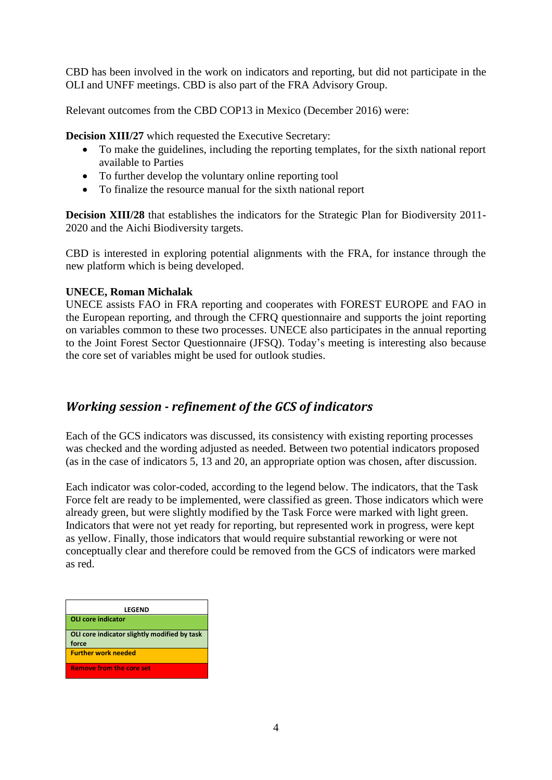CBD has been involved in the work on indicators and reporting, but did not participate in the OLI and UNFF meetings. CBD is also part of the FRA Advisory Group.

Relevant outcomes from the CBD COP13 in Mexico (December 2016) were:

**Decision XIII/27** which requested the Executive Secretary:

- To make the guidelines, including the reporting templates, for the sixth national report available to Parties
- To further develop the voluntary online reporting tool
- To finalize the resource manual for the sixth national report

**Decision XIII/28** that establishes the indicators for the Strategic Plan for Biodiversity 2011- 2020 and the Aichi Biodiversity targets.

CBD is interested in exploring potential alignments with the FRA, for instance through the new platform which is being developed.

#### **UNECE, Roman Michalak**

UNECE assists FAO in FRA reporting and cooperates with FOREST EUROPE and FAO in the European reporting, and through the CFRQ questionnaire and supports the joint reporting on variables common to these two processes. UNECE also participates in the annual reporting to the Joint Forest Sector Questionnaire (JFSQ). Today's meeting is interesting also because the core set of variables might be used for outlook studies.

### *Working session - refinement of the GCS of indicators*

Each of the GCS indicators was discussed, its consistency with existing reporting processes was checked and the wording adjusted as needed. Between two potential indicators proposed (as in the case of indicators 5, 13 and 20, an appropriate option was chosen, after discussion.

Each indicator was color-coded, according to the legend below. The indicators, that the Task Force felt are ready to be implemented, were classified as green. Those indicators which were already green, but were slightly modified by the Task Force were marked with light green. Indicators that were not yet ready for reporting, but represented work in progress, were kept as yellow. Finally, those indicators that would require substantial reworking or were not conceptually clear and therefore could be removed from the GCS of indicators were marked as red.

| LEGEND                                                |
|-------------------------------------------------------|
| <b>OLI core indicator</b>                             |
| OLI core indicator slightly modified by task<br>force |
| <b>Further work needed</b>                            |
| <b>Remove from the core set</b>                       |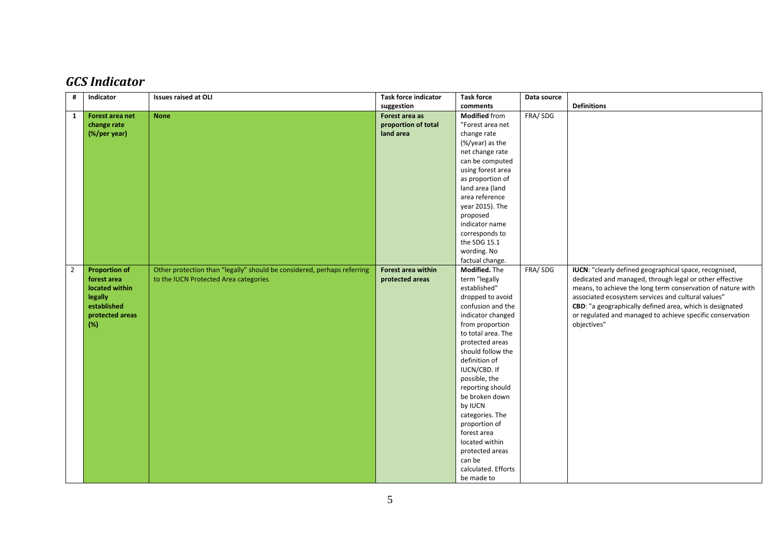## *GCS Indicator*

| #              | Indicator                      | <b>Issues raised at OLI</b>                                             | <b>Task force indicator</b>           | <b>Task force</b>                    | Data source | <b>Definitions</b>                                          |
|----------------|--------------------------------|-------------------------------------------------------------------------|---------------------------------------|--------------------------------------|-------------|-------------------------------------------------------------|
|                |                                |                                                                         | suggestion                            | comments<br><b>Modified</b> from     |             |                                                             |
| 1              | Forest area net<br>change rate | <b>None</b>                                                             | Forest area as<br>proportion of total | "Forest area net                     | FRA/SDG     |                                                             |
|                | (%/per year)                   |                                                                         | land area                             | change rate                          |             |                                                             |
|                |                                |                                                                         |                                       | (%/year) as the                      |             |                                                             |
|                |                                |                                                                         |                                       | net change rate                      |             |                                                             |
|                |                                |                                                                         |                                       | can be computed                      |             |                                                             |
|                |                                |                                                                         |                                       | using forest area                    |             |                                                             |
|                |                                |                                                                         |                                       | as proportion of                     |             |                                                             |
|                |                                |                                                                         |                                       | land area (land                      |             |                                                             |
|                |                                |                                                                         |                                       | area reference                       |             |                                                             |
|                |                                |                                                                         |                                       | year 2015). The                      |             |                                                             |
|                |                                |                                                                         |                                       | proposed                             |             |                                                             |
|                |                                |                                                                         |                                       | indicator name                       |             |                                                             |
|                |                                |                                                                         |                                       | corresponds to                       |             |                                                             |
|                |                                |                                                                         |                                       | the SDG 15.1                         |             |                                                             |
|                |                                |                                                                         |                                       | wording. No                          |             |                                                             |
|                |                                |                                                                         |                                       | factual change.                      |             |                                                             |
| $\overline{2}$ | <b>Proportion of</b>           | Other protection than "legally" should be considered, perhaps referring | Forest area within                    | Modified. The                        | FRA/SDG     | IUCN: "clearly defined geographical space, recognised,      |
|                | forest area                    | to the IUCN Protected Area categories                                   | protected areas                       | term "legally                        |             | dedicated and managed, through legal or other effective     |
|                | located within                 |                                                                         |                                       | established"                         |             | means, to achieve the long term conservation of nature with |
|                | legally                        |                                                                         |                                       | dropped to avoid                     |             | associated ecosystem services and cultural values"          |
|                | established                    |                                                                         |                                       | confusion and the                    |             | CBD: "a geographically defined area, which is designated    |
|                | protected areas                |                                                                         |                                       | indicator changed                    |             | or regulated and managed to achieve specific conservation   |
|                | (%)                            |                                                                         |                                       | from proportion                      |             | objectives"                                                 |
|                |                                |                                                                         |                                       | to total area. The                   |             |                                                             |
|                |                                |                                                                         |                                       | protected areas<br>should follow the |             |                                                             |
|                |                                |                                                                         |                                       | definition of                        |             |                                                             |
|                |                                |                                                                         |                                       | IUCN/CBD. If                         |             |                                                             |
|                |                                |                                                                         |                                       | possible, the                        |             |                                                             |
|                |                                |                                                                         |                                       | reporting should                     |             |                                                             |
|                |                                |                                                                         |                                       | be broken down                       |             |                                                             |
|                |                                |                                                                         |                                       | by IUCN                              |             |                                                             |
|                |                                |                                                                         |                                       | categories. The                      |             |                                                             |
|                |                                |                                                                         |                                       | proportion of                        |             |                                                             |
|                |                                |                                                                         |                                       | forest area                          |             |                                                             |
|                |                                |                                                                         |                                       | located within                       |             |                                                             |
|                |                                |                                                                         |                                       | protected areas                      |             |                                                             |
|                |                                |                                                                         |                                       | can be                               |             |                                                             |
|                |                                |                                                                         |                                       | calculated. Efforts                  |             |                                                             |
|                |                                |                                                                         |                                       | be made to                           |             |                                                             |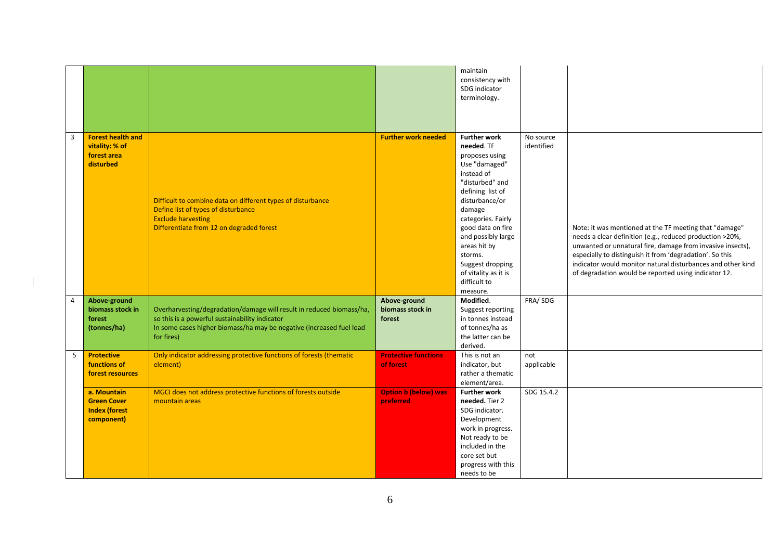|                |                                                                         |                                                                                                                                                                                                              |                                            | maintain<br>consistency with<br>SDG indicator<br>terminology.                                                                                                                                                                                                                                                             |                         |                                                                                                                                                                                                                                                                                                                                                                     |
|----------------|-------------------------------------------------------------------------|--------------------------------------------------------------------------------------------------------------------------------------------------------------------------------------------------------------|--------------------------------------------|---------------------------------------------------------------------------------------------------------------------------------------------------------------------------------------------------------------------------------------------------------------------------------------------------------------------------|-------------------------|---------------------------------------------------------------------------------------------------------------------------------------------------------------------------------------------------------------------------------------------------------------------------------------------------------------------------------------------------------------------|
| $\overline{3}$ | <b>Forest health and</b><br>vitality: % of<br>forest area<br>disturbed  | Difficult to combine data on different types of disturbance<br>Define list of types of disturbance<br><b>Exclude harvesting</b><br>Differentiate from 12 on degraded forest                                  | <b>Further work needed</b>                 | <b>Further work</b><br>needed. TF<br>proposes using<br>Use "damaged"<br>instead of<br>"disturbed" and<br>defining list of<br>disturbance/or<br>damage<br>categories. Fairly<br>good data on fire<br>and possibly large<br>areas hit by<br>storms.<br>Suggest dropping<br>of vitality as it is<br>difficult to<br>measure. | No source<br>identified | Note: it was mentioned at the TF meeting that "damage"<br>needs a clear definition (e.g., reduced production >20%,<br>unwanted or unnatural fire, damage from invasive insects),<br>especially to distinguish it from 'degradation'. So this<br>indicator would monitor natural disturbances and other kind<br>of degradation would be reported using indicator 12. |
| $\overline{4}$ | Above-ground<br>biomass stock in<br>forest<br>(tonnes/ha)               | Overharvesting/degradation/damage will result in reduced biomass/ha,<br>so this is a powerful sustainability indicator<br>In some cases higher biomass/ha may be negative (increased fuel load<br>for fires) | Above-ground<br>biomass stock in<br>forest | Modified.<br>Suggest reporting<br>in tonnes instead<br>of tonnes/ha as<br>the latter can be<br>derived.                                                                                                                                                                                                                   | FRA/SDG                 |                                                                                                                                                                                                                                                                                                                                                                     |
| 5              | <b>Protective</b><br>functions of<br>forest resources                   | Only indicator addressing protective functions of forests (thematic<br>element)                                                                                                                              | <b>Protective functions</b><br>of forest   | This is not an<br>indicator, but<br>rather a thematic<br>element/area.                                                                                                                                                                                                                                                    | not<br>applicable       |                                                                                                                                                                                                                                                                                                                                                                     |
|                | a. Mountain<br><b>Green Cover</b><br><b>Index (forest</b><br>component) | MGCI does not address protective functions of forests outside<br>mountain areas                                                                                                                              | <b>Option b (below) was</b><br>preferred   | <b>Further work</b><br>needed. Tier 2<br>SDG indicator.<br>Development<br>work in progress.<br>Not ready to be<br>included in the<br>core set but<br>progress with this<br>needs to be                                                                                                                                    | SDG 15.4.2              |                                                                                                                                                                                                                                                                                                                                                                     |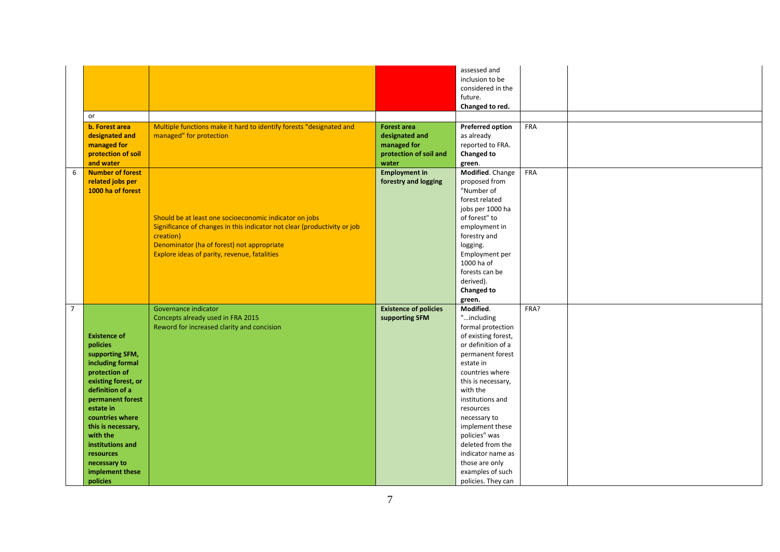|                | <b>or</b><br>b. Forest area<br>designated and                                                                                                                                                                                                                                                           | Multiple functions make it hard to identify forests "designated and<br>managed" for protection                                                                                                                                                | <b>Forest area</b><br>designated and           | assessed and<br>inclusion to be<br>considered in the<br>future.<br>Changed to red.<br><b>Preferred option</b><br>as already                                                                                                                                                                                                                                               | FRA  |  |
|----------------|---------------------------------------------------------------------------------------------------------------------------------------------------------------------------------------------------------------------------------------------------------------------------------------------------------|-----------------------------------------------------------------------------------------------------------------------------------------------------------------------------------------------------------------------------------------------|------------------------------------------------|---------------------------------------------------------------------------------------------------------------------------------------------------------------------------------------------------------------------------------------------------------------------------------------------------------------------------------------------------------------------------|------|--|
|                | managed for<br>protection of soil<br>and water                                                                                                                                                                                                                                                          |                                                                                                                                                                                                                                               | managed for<br>protection of soil and<br>water | reported to FRA.<br><b>Changed to</b><br>green.                                                                                                                                                                                                                                                                                                                           |      |  |
| 6              | <b>Number of forest</b><br>related jobs per<br>1000 ha of forest                                                                                                                                                                                                                                        | Should be at least one socioeconomic indicator on jobs<br>Significance of changes in this indicator not clear (productivity or job<br>creation)<br>Denominator (ha of forest) not appropriate<br>Explore ideas of parity, revenue, fatalities | <b>Employment in</b><br>forestry and logging   | Modified. Change<br>proposed from<br>"Number of<br>forest related<br>jobs per 1000 ha<br>of forest" to<br>employment in<br>forestry and<br>logging.<br>Employment per<br>1000 ha of<br>forests can be<br>derived).<br>Changed to<br>green.                                                                                                                                | FRA  |  |
| $\overline{7}$ | <b>Existence of</b><br>policies<br>supporting SFM,<br>including formal<br>protection of<br>existing forest, or<br>definition of a<br>permanent forest<br>estate in<br>countries where<br>this is necessary,<br>with the<br>institutions and<br>resources<br>necessary to<br>implement these<br>policies | Governance indicator<br>Concepts already used in FRA 2015<br>Reword for increased clarity and concision                                                                                                                                       | <b>Existence of policies</b><br>supporting SFM | Modified.<br>"including<br>formal protection<br>of existing forest,<br>or definition of a<br>permanent forest<br>estate in<br>countries where<br>this is necessary,<br>with the<br>institutions and<br>resources<br>necessary to<br>implement these<br>policies" was<br>deleted from the<br>indicator name as<br>those are only<br>examples of such<br>policies. They can | FRA? |  |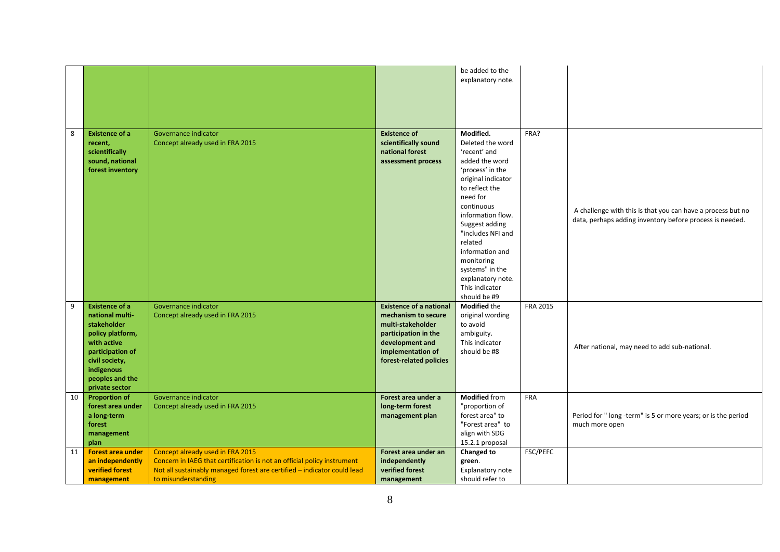|    |                                                                                                                                                                                     |                                                                                                                                                                                        |                                                                                                                                                                       | be added to the<br>explanatory note.                                                                                                                                                                                                                                                   |                 |                                                                                                                         |
|----|-------------------------------------------------------------------------------------------------------------------------------------------------------------------------------------|----------------------------------------------------------------------------------------------------------------------------------------------------------------------------------------|-----------------------------------------------------------------------------------------------------------------------------------------------------------------------|----------------------------------------------------------------------------------------------------------------------------------------------------------------------------------------------------------------------------------------------------------------------------------------|-----------------|-------------------------------------------------------------------------------------------------------------------------|
|    |                                                                                                                                                                                     |                                                                                                                                                                                        |                                                                                                                                                                       |                                                                                                                                                                                                                                                                                        |                 |                                                                                                                         |
| 8  | <b>Existence of a</b><br>recent,<br>scientifically                                                                                                                                  | Governance indicator<br>Concept already used in FRA 2015                                                                                                                               | <b>Existence of</b><br>scientifically sound<br>national forest                                                                                                        | Modified.<br>Deleted the word<br>'recent' and                                                                                                                                                                                                                                          | FRA?            |                                                                                                                         |
|    | sound, national<br>forest inventory                                                                                                                                                 |                                                                                                                                                                                        | assessment process                                                                                                                                                    | added the word<br>'process' in the<br>original indicator<br>to reflect the<br>need for<br>continuous<br>information flow.<br>Suggest adding<br>"includes NFI and<br>related<br>information and<br>monitoring<br>systems" in the<br>explanatory note.<br>This indicator<br>should be #9 |                 | A challenge with this is that you can have a process but no<br>data, perhaps adding inventory before process is needed. |
| 9  | <b>Existence of a</b><br>national multi-<br>stakeholder<br>policy platform,<br>with active<br>participation of<br>civil society,<br>indigenous<br>peoples and the<br>private sector | Governance indicator<br>Concept already used in FRA 2015                                                                                                                               | <b>Existence of a national</b><br>mechanism to secure<br>multi-stakeholder<br>participation in the<br>development and<br>implementation of<br>forest-related policies | <b>Modified the</b><br>original wording<br>to avoid<br>ambiguity.<br>This indicator<br>should be #8                                                                                                                                                                                    | <b>FRA 2015</b> | After national, may need to add sub-national.                                                                           |
| 10 | <b>Proportion of</b><br>forest area under<br>a long-term<br>forest<br>management<br>plan                                                                                            | Governance indicator<br>Concept already used in FRA 2015                                                                                                                               | Forest area under a<br>long-term forest<br>management plan                                                                                                            | <b>Modified</b> from<br>"proportion of<br>forest area" to<br>"Forest area" to<br>align with SDG<br>15.2.1 proposal                                                                                                                                                                     | <b>FRA</b>      | Period for " long -term" is 5 or more years; or is the period<br>much more open                                         |
| 11 | <b>Forest area under</b><br>an independently<br>verified forest                                                                                                                     | Concept already used in FRA 2015<br>Concern in IAEG that certification is not an official policy instrument<br>Not all sustainably managed forest are certified - indicator could lead | Forest area under an<br>independently<br>verified forest                                                                                                              | Changed to<br>green.<br>Explanatory note                                                                                                                                                                                                                                               | FSC/PEFC        |                                                                                                                         |
|    | management                                                                                                                                                                          | to misunderstanding                                                                                                                                                                    | management                                                                                                                                                            | should refer to                                                                                                                                                                                                                                                                        |                 |                                                                                                                         |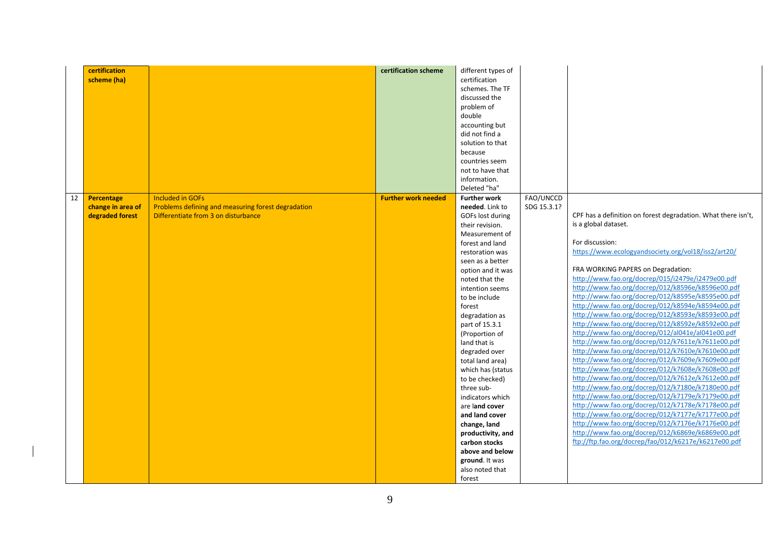|    | certification<br>scheme (ha)                              |                                                                                                                      | certification scheme       | different types of<br>certification<br>schemes. The TF<br>discussed the<br>problem of<br>double<br>accounting but<br>did not find a<br>solution to that<br>because<br>countries seem<br>not to have that<br>information.<br>Deleted "ha"                                                                                                                                                                                                                                                                                                                                                       |                          |                                                                                                                                                                                                                                                                                                                                                                                                                                                                                                                                                                                                                                                                                                                                                                                                                                                                                                                                                                                                                                                                                                                                                                                                                                                         |
|----|-----------------------------------------------------------|----------------------------------------------------------------------------------------------------------------------|----------------------------|------------------------------------------------------------------------------------------------------------------------------------------------------------------------------------------------------------------------------------------------------------------------------------------------------------------------------------------------------------------------------------------------------------------------------------------------------------------------------------------------------------------------------------------------------------------------------------------------|--------------------------|---------------------------------------------------------------------------------------------------------------------------------------------------------------------------------------------------------------------------------------------------------------------------------------------------------------------------------------------------------------------------------------------------------------------------------------------------------------------------------------------------------------------------------------------------------------------------------------------------------------------------------------------------------------------------------------------------------------------------------------------------------------------------------------------------------------------------------------------------------------------------------------------------------------------------------------------------------------------------------------------------------------------------------------------------------------------------------------------------------------------------------------------------------------------------------------------------------------------------------------------------------|
| 12 | <b>Percentage</b><br>change in area of<br>degraded forest | <b>Included in GOFs</b><br>Problems defining and measuring forest degradation<br>Differentiate from 3 on disturbance | <b>Further work needed</b> | <b>Further work</b><br>needed. Link to<br>GOFs lost during<br>their revision.<br>Measurement of<br>forest and land<br>restoration was<br>seen as a better<br>option and it was<br>noted that the<br>intention seems<br>to be include<br>forest<br>degradation as<br>part of 15.3.1<br>(Proportion of<br>land that is<br>degraded over<br>total land area)<br>which has (status<br>to be checked)<br>three sub-<br>indicators which<br>are land cover<br>and land cover<br>change, land<br>productivity, and<br>carbon stocks<br>above and below<br>ground. It was<br>also noted that<br>forest | FAO/UNCCD<br>SDG 15.3.1? | CPF has a definition on forest degradation. What there isn't,<br>is a global dataset.<br>For discussion:<br>https://www.ecologyandsociety.org/vol18/iss2/art20/<br>FRA WORKING PAPERS on Degradation:<br>http://www.fao.org/docrep/015/i2479e/i2479e00.pdf<br>http://www.fao.org/docrep/012/k8596e/k8596e00.pdf<br>http://www.fao.org/docrep/012/k8595e/k8595e00.pdf<br>http://www.fao.org/docrep/012/k8594e/k8594e00.pdf<br>http://www.fao.org/docrep/012/k8593e/k8593e00.pdf<br>http://www.fao.org/docrep/012/k8592e/k8592e00.pdf<br>http://www.fao.org/docrep/012/al041e/al041e00.pdf<br>http://www.fao.org/docrep/012/k7611e/k7611e00.pdf<br>http://www.fao.org/docrep/012/k7610e/k7610e00.pdf<br>http://www.fao.org/docrep/012/k7609e/k7609e00.pdf<br>http://www.fao.org/docrep/012/k7608e/k7608e00.pdf<br>http://www.fao.org/docrep/012/k7612e/k7612e00.pdf<br>http://www.fao.org/docrep/012/k7180e/k7180e00.pdf<br>http://www.fao.org/docrep/012/k7179e/k7179e00.pdf<br>http://www.fao.org/docrep/012/k7178e/k7178e00.pdf<br>http://www.fao.org/docrep/012/k7177e/k7177e00.pdf<br>http://www.fao.org/docrep/012/k7176e/k7176e00.pdf<br>http://www.fao.org/docrep/012/k6869e/k6869e00.pdf<br>ftp://ftp.fao.org/docrep/fao/012/k6217e/k6217e00.pdf |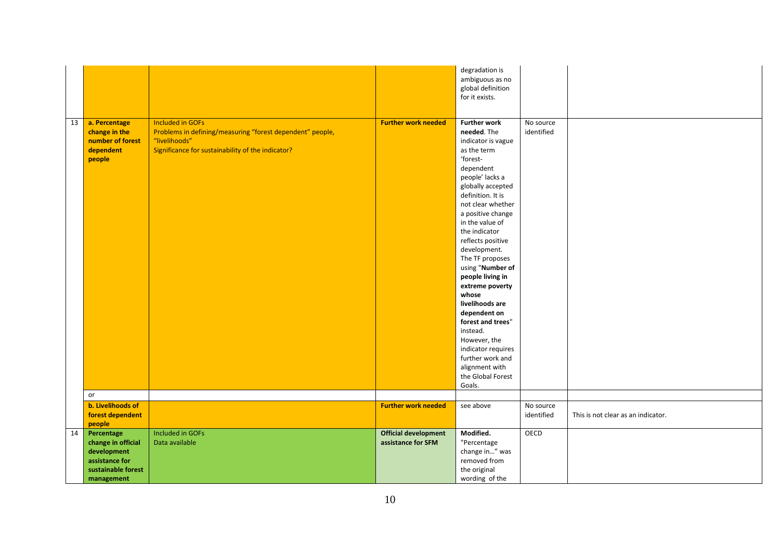|    |                                                                                                       |                                                                                                                                                            |                                                   | degradation is<br>ambiguous as no<br>global definition<br>for it exists.                                                                                                                                                                                                                                                 |                         |                                    |
|----|-------------------------------------------------------------------------------------------------------|------------------------------------------------------------------------------------------------------------------------------------------------------------|---------------------------------------------------|--------------------------------------------------------------------------------------------------------------------------------------------------------------------------------------------------------------------------------------------------------------------------------------------------------------------------|-------------------------|------------------------------------|
| 13 | a. Percentage<br>change in the<br>number of forest<br>dependent<br>people                             | <b>Included in GOFs</b><br>Problems in defining/measuring "forest dependent" people,<br>"livelihoods"<br>Significance for sustainability of the indicator? | <b>Further work needed</b>                        | <b>Further work</b><br>needed. The<br>indicator is vague<br>as the term<br>'forest-<br>dependent<br>people' lacks a<br>globally accepted<br>definition. It is<br>not clear whether<br>a positive change<br>in the value of                                                                                               | No source<br>identified |                                    |
|    |                                                                                                       |                                                                                                                                                            |                                                   | the indicator<br>reflects positive<br>development.<br>The TF proposes<br>using "Number of<br>people living in<br>extreme poverty<br>whose<br>livelihoods are<br>dependent on<br>forest and trees"<br>instead.<br>However, the<br>indicator requires<br>further work and<br>alignment with<br>the Global Forest<br>Goals. |                         |                                    |
|    | or                                                                                                    |                                                                                                                                                            |                                                   |                                                                                                                                                                                                                                                                                                                          |                         |                                    |
|    | b. Livelihoods of<br>forest dependent<br>people                                                       |                                                                                                                                                            | <b>Further work needed</b>                        | see above                                                                                                                                                                                                                                                                                                                | No source<br>identified | This is not clear as an indicator. |
| 14 | Percentage<br>change in official<br>development<br>assistance for<br>sustainable forest<br>management | Included in GOFs<br>Data available                                                                                                                         | <b>Official development</b><br>assistance for SFM | Modified.<br>"Percentage<br>change in" was<br>removed from<br>the original<br>wording of the                                                                                                                                                                                                                             | OECD                    |                                    |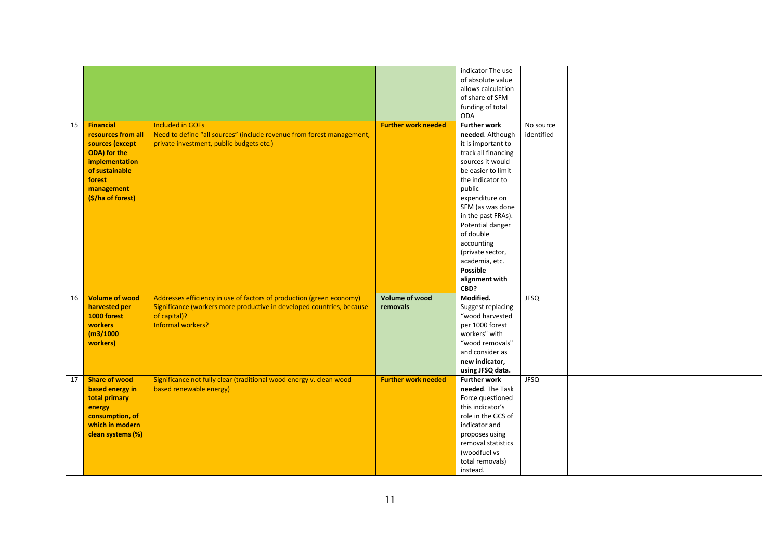|    |                       |                                                                       |                            | indicator The use   |             |  |
|----|-----------------------|-----------------------------------------------------------------------|----------------------------|---------------------|-------------|--|
|    |                       |                                                                       |                            | of absolute value   |             |  |
|    |                       |                                                                       |                            | allows calculation  |             |  |
|    |                       |                                                                       |                            | of share of SFM     |             |  |
|    |                       |                                                                       |                            | funding of total    |             |  |
|    |                       |                                                                       |                            | <b>ODA</b>          |             |  |
| 15 | <b>Financial</b>      | <b>Included in GOFs</b>                                               | <b>Further work needed</b> | <b>Further work</b> | No source   |  |
|    | resources from all    | Need to define "all sources" (include revenue from forest management, |                            | needed. Although    | identified  |  |
|    | sources (except       | private investment, public budgets etc.)                              |                            | it is important to  |             |  |
|    | <b>ODA)</b> for the   |                                                                       |                            | track all financing |             |  |
|    | implementation        |                                                                       |                            | sources it would    |             |  |
|    | of sustainable        |                                                                       |                            | be easier to limit  |             |  |
|    | forest                |                                                                       |                            | the indicator to    |             |  |
|    | management            |                                                                       |                            | public              |             |  |
|    | (\$/ha of forest)     |                                                                       |                            | expenditure on      |             |  |
|    |                       |                                                                       |                            | SFM (as was done    |             |  |
|    |                       |                                                                       |                            | in the past FRAs).  |             |  |
|    |                       |                                                                       |                            | Potential danger    |             |  |
|    |                       |                                                                       |                            | of double           |             |  |
|    |                       |                                                                       |                            | accounting          |             |  |
|    |                       |                                                                       |                            | (private sector,    |             |  |
|    |                       |                                                                       |                            | academia, etc.      |             |  |
|    |                       |                                                                       |                            | Possible            |             |  |
|    |                       |                                                                       |                            | alignment with      |             |  |
|    |                       |                                                                       |                            | CBD?                |             |  |
| 16 | <b>Volume of wood</b> | Addresses efficiency in use of factors of production (green economy)  | <b>Volume of wood</b>      | Modified.           | <b>JFSQ</b> |  |
|    | harvested per         | Significance (workers more productive in developed countries, because | removals                   | Suggest replacing   |             |  |
|    | 1000 forest           | of capital)?                                                          |                            | "wood harvested     |             |  |
|    | workers               | Informal workers?                                                     |                            | per 1000 forest     |             |  |
|    | (m3/1000)             |                                                                       |                            | workers" with       |             |  |
|    | workers)              |                                                                       |                            | "wood removals"     |             |  |
|    |                       |                                                                       |                            | and consider as     |             |  |
|    |                       |                                                                       |                            | new indicator,      |             |  |
|    |                       |                                                                       |                            | using JFSQ data.    |             |  |
| 17 | <b>Share of wood</b>  | Significance not fully clear (traditional wood energy v. clean wood-  | <b>Further work needed</b> | <b>Further work</b> | <b>JFSQ</b> |  |
|    | based energy in       | based renewable energy)                                               |                            | needed. The Task    |             |  |
|    | total primary         |                                                                       |                            | Force questioned    |             |  |
|    | energy                |                                                                       |                            | this indicator's    |             |  |
|    | consumption, of       |                                                                       |                            | role in the GCS of  |             |  |
|    | which in modern       |                                                                       |                            | indicator and       |             |  |
|    | clean systems (%)     |                                                                       |                            | proposes using      |             |  |
|    |                       |                                                                       |                            | removal statistics  |             |  |
|    |                       |                                                                       |                            | (woodfuel vs        |             |  |
|    |                       |                                                                       |                            | total removals)     |             |  |
|    |                       |                                                                       |                            | instead.            |             |  |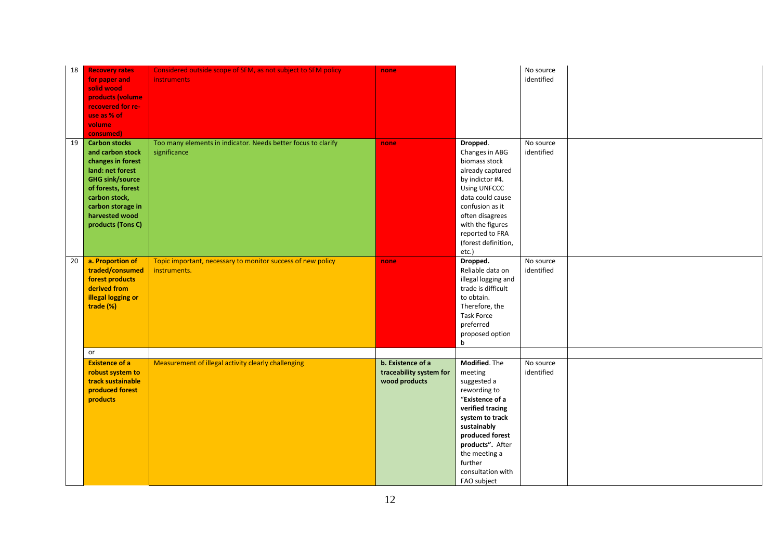| 18 | <b>Recovery rates</b><br>for paper and<br>solid wood<br>products (volume<br>recovered for re-<br>use as % of<br>volume<br>consumed)                                                                            | Considered outside scope of SFM, as not subject to SFM policy<br><b>instruments</b> | none                                                          |                                                                                                                                                                                                                                            | No source<br>identified |  |
|----|----------------------------------------------------------------------------------------------------------------------------------------------------------------------------------------------------------------|-------------------------------------------------------------------------------------|---------------------------------------------------------------|--------------------------------------------------------------------------------------------------------------------------------------------------------------------------------------------------------------------------------------------|-------------------------|--|
| 19 | <b>Carbon stocks</b><br>and carbon stock<br>changes in forest<br>land: net forest<br><b>GHG sink/source</b><br>of forests, forest<br>carbon stock,<br>carbon storage in<br>harvested wood<br>products (Tons C) | Too many elements in indicator. Needs better focus to clarify<br>significance       | none                                                          | Dropped.<br>Changes in ABG<br>biomass stock<br>already captured<br>by indictor #4.<br><b>Using UNFCCC</b><br>data could cause<br>confusion as it<br>often disagrees<br>with the figures<br>reported to FRA<br>(forest definition,<br>etc.) | No source<br>identified |  |
| 20 | a. Proportion of<br>traded/consumed<br>forest products<br>derived from<br>illegal logging or<br>trade (%)                                                                                                      | Topic important, necessary to monitor success of new policy<br>instruments.         | none                                                          | Dropped.<br>Reliable data on<br>illegal logging and<br>trade is difficult<br>to obtain.<br>Therefore, the<br><b>Task Force</b><br>preferred<br>proposed option<br>$\mathsf b$                                                              | No source<br>identified |  |
|    | or<br><b>Existence of a</b><br>robust system to<br>track sustainable<br>produced forest<br>products                                                                                                            | Measurement of illegal activity clearly challenging                                 | b. Existence of a<br>traceability system for<br>wood products | Modified. The<br>meeting<br>suggested a<br>rewording to<br>"Existence of a<br>verified tracing<br>system to track<br>sustainably<br>produced forest<br>products". After<br>the meeting a<br>further<br>consultation with<br>FAO subject    | No source<br>identified |  |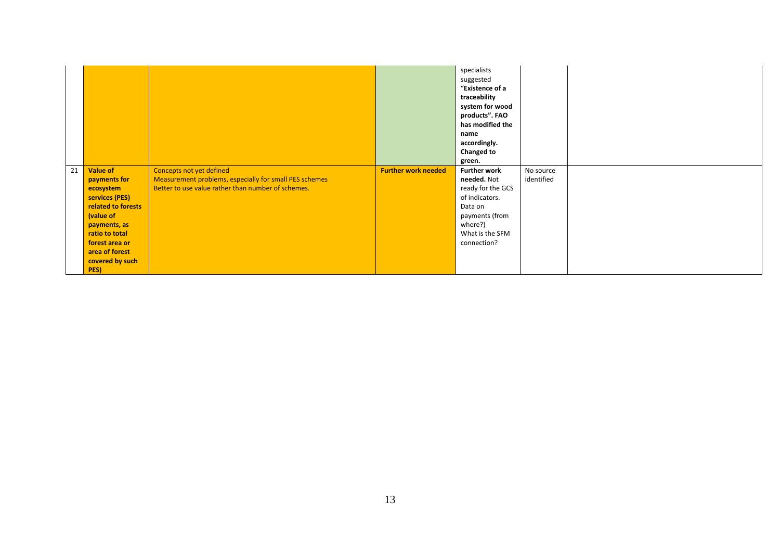|    |                                   |                                                                                    |                            | specialists<br>suggested<br>"Existence of a<br>traceability<br>system for wood<br>products". FAO<br>has modified the<br>name<br>accordingly.<br>Changed to<br>green. |                         |  |
|----|-----------------------------------|------------------------------------------------------------------------------------|----------------------------|----------------------------------------------------------------------------------------------------------------------------------------------------------------------|-------------------------|--|
| 21 | <b>Value of</b><br>payments for   | Concepts not yet defined<br>Measurement problems, especially for small PES schemes | <b>Further work needed</b> | <b>Further work</b><br>needed. Not                                                                                                                                   | No source<br>identified |  |
|    | ecosystem                         | Better to use value rather than number of schemes.                                 |                            | ready for the GCS                                                                                                                                                    |                         |  |
|    | services (PES)                    |                                                                                    |                            | of indicators.                                                                                                                                                       |                         |  |
|    | related to forests                |                                                                                    |                            | Data on                                                                                                                                                              |                         |  |
|    | (value of                         |                                                                                    |                            | payments (from                                                                                                                                                       |                         |  |
|    | payments, as                      |                                                                                    |                            | where?)                                                                                                                                                              |                         |  |
|    |                                   |                                                                                    |                            |                                                                                                                                                                      |                         |  |
|    | ratio to total                    |                                                                                    |                            | What is the SFM                                                                                                                                                      |                         |  |
|    | forest area or                    |                                                                                    |                            | connection?                                                                                                                                                          |                         |  |
|    | area of forest<br>covered by such |                                                                                    |                            |                                                                                                                                                                      |                         |  |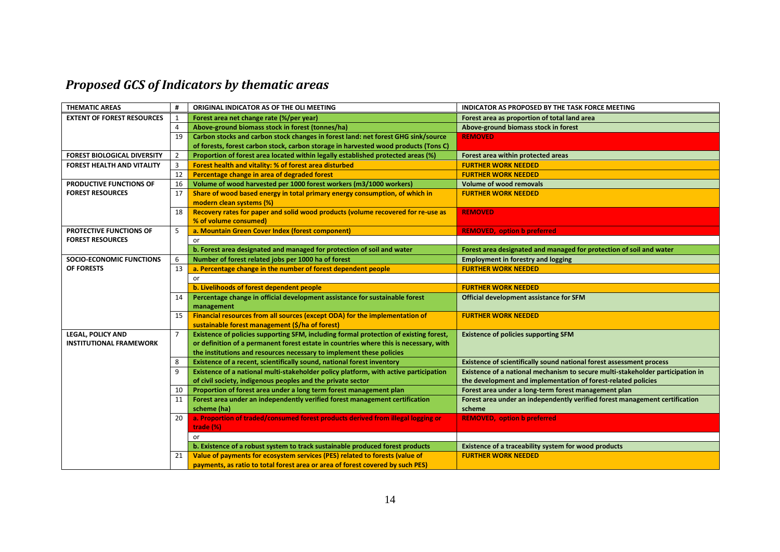# *Proposed GCS of Indicators by thematic areas*

| <b>THEMATIC AREAS</b>              | #              | ORIGINAL INDICATOR AS OF THE OLI MEETING                                              | INDICATOR AS PROPOSED BY THE TASK FORCE MEETING                                |
|------------------------------------|----------------|---------------------------------------------------------------------------------------|--------------------------------------------------------------------------------|
| <b>EXTENT OF FOREST RESOURCES</b>  | 1              | Forest area net change rate (%/per year)                                              | Forest area as proportion of total land area                                   |
|                                    | $\overline{4}$ | Above-ground biomass stock in forest (tonnes/ha)                                      | Above-ground biomass stock in forest                                           |
|                                    | 19             | Carbon stocks and carbon stock changes in forest land: net forest GHG sink/source     | <b>REMOVED</b>                                                                 |
|                                    |                | of forests, forest carbon stock, carbon storage in harvested wood products (Tons C)   |                                                                                |
| <b>FOREST BIOLOGICAL DIVERSITY</b> | $\overline{2}$ | Proportion of forest area located within legally established protected areas (%)      | Forest area within protected areas                                             |
| <b>FOREST HEALTH AND VITALITY</b>  | 3              | Forest health and vitality: % of forest area disturbed                                | <b>FURTHER WORK NEEDED</b>                                                     |
|                                    | 12             | Percentage change in area of degraded forest                                          | <b>FURTHER WORK NEEDED</b>                                                     |
| PRODUCTIVE FUNCTIONS OF            | 16             | Volume of wood harvested per 1000 forest workers (m3/1000 workers)                    | <b>Volume of wood removals</b>                                                 |
| <b>FOREST RESOURCES</b>            | 17             | Share of wood based energy in total primary energy consumption, of which in           | <b>FURTHER WORK NEEDED</b>                                                     |
|                                    |                | modern clean systems (%)                                                              |                                                                                |
|                                    | 18             | Recovery rates for paper and solid wood products (volume recovered for re-use as      | <b>REMOVED</b>                                                                 |
|                                    |                | % of volume consumed)                                                                 |                                                                                |
| <b>PROTECTIVE FUNCTIONS OF</b>     | 5              | a. Mountain Green Cover Index (forest component)                                      | <b>REMOVED, option b preferred</b>                                             |
| <b>FOREST RESOURCES</b>            |                | or                                                                                    |                                                                                |
|                                    |                | b. Forest area designated and managed for protection of soil and water                | Forest area designated and managed for protection of soil and water            |
| <b>SOCIO-ECONOMIC FUNCTIONS</b>    | -6             | Number of forest related jobs per 1000 ha of forest                                   | <b>Employment in forestry and logging</b>                                      |
| OF FORESTS                         | 13             | a. Percentage change in the number of forest dependent people                         | <b>FURTHER WORK NEEDED</b>                                                     |
|                                    |                | or                                                                                    |                                                                                |
|                                    |                | b. Livelihoods of forest dependent people                                             | <b>FURTHER WORK NEEDED</b>                                                     |
|                                    | 14             | Percentage change in official development assistance for sustainable forest           | Official development assistance for SFM                                        |
|                                    |                | management                                                                            |                                                                                |
|                                    | 15             | Financial resources from all sources (except ODA) for the implementation of           | <b>FURTHER WORK NEEDED</b>                                                     |
|                                    |                | sustainable forest management (\$/ha of forest)                                       |                                                                                |
| <b>LEGAL, POLICY AND</b>           | $\overline{7}$ | Existence of policies supporting SFM, including formal protection of existing forest, | <b>Existence of policies supporting SFM</b>                                    |
| <b>INSTITUTIONAL FRAMEWORK</b>     |                | or definition of a permanent forest estate in countries where this is necessary, with |                                                                                |
|                                    |                | the institutions and resources necessary to implement these policies                  |                                                                                |
|                                    | 8              | Existence of a recent, scientifically sound, national forest inventory                | Existence of scientifically sound national forest assessment process           |
|                                    | 9              | Existence of a national multi-stakeholder policy platform, with active participation  | Existence of a national mechanism to secure multi-stakeholder participation in |
|                                    |                | of civil society, indigenous peoples and the private sector                           | the development and implementation of forest-related policies                  |
|                                    | 10             | Proportion of forest area under a long term forest management plan                    | Forest area under a long-term forest management plan                           |
|                                    | 11             | Forest area under an independently verified forest management certification           | Forest area under an independently verified forest management certification    |
|                                    |                | scheme (ha)                                                                           | scheme                                                                         |
|                                    | 20             | a. Proportion of traded/consumed forest products derived from illegal logging or      | <b>REMOVED, option b preferred</b>                                             |
|                                    |                | trade (%)                                                                             |                                                                                |
|                                    |                | or                                                                                    |                                                                                |
|                                    |                | b. Existence of a robust system to track sustainable produced forest products         | Existence of a traceability system for wood products                           |
|                                    | 21             | Value of payments for ecosystem services (PES) related to forests (value of           | <b>FURTHER WORK NEEDED</b>                                                     |
|                                    |                | payments, as ratio to total forest area or area of forest covered by such PES)        |                                                                                |